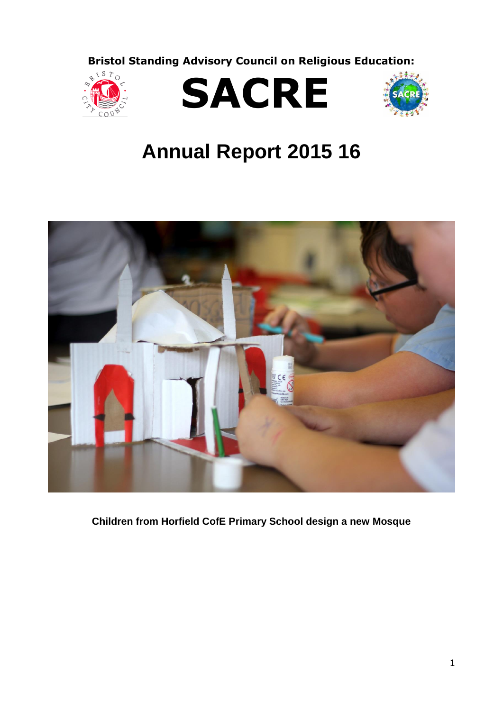**Bristol Standing Advisory Council on Religious Education:**







# **Annual Report 2015 16**



**Children from Horfield CofE Primary School design a new Mosque**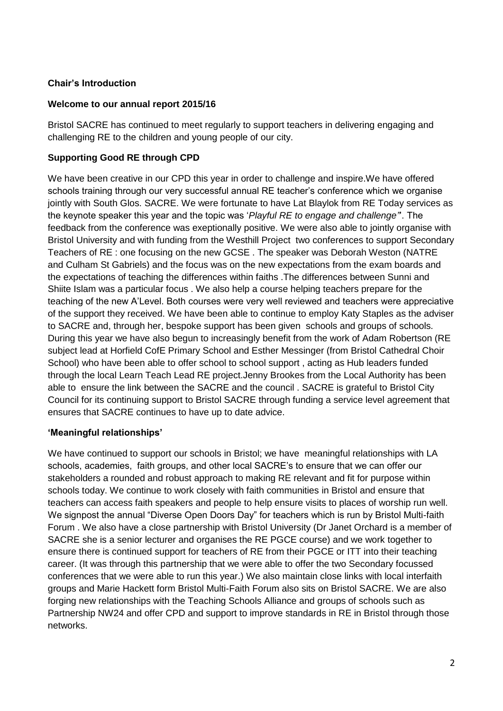# **Chair's Introduction**

# **Welcome to our annual report 2015/16**

Bristol SACRE has continued to meet regularly to support teachers in delivering engaging and challenging RE to the children and young people of our city.

# **Supporting Good RE through CPD**

We have been creative in our CPD this year in order to challenge and inspire.We have offered schools training through our very successful annual RE teacher's conference which we organise jointly with South Glos. SACRE. We were fortunate to have Lat Blaylok from RE Today services as the keynote speaker this year and the topic was '*Playful RE to engage and challenge"*'. The feedback from the conference was exeptionally positive. We were also able to jointly organise with Bristol University and with funding from the Westhill Project two conferences to support Secondary Teachers of RE : one focusing on the new GCSE . The speaker was Deborah Weston (NATRE and Culham St Gabriels) and the focus was on the new expectations from the exam boards and the expectations of teaching the differences within faiths .The differences between Sunni and Shiite Islam was a particular focus . We also help a course helping teachers prepare for the teaching of the new A'Level. Both courses were very well reviewed and teachers were appreciative of the support they received. We have been able to continue to employ Katy Staples as the adviser to SACRE and, through her, bespoke support has been given schools and groups of schools. During this year we have also begun to increasingly benefit from the work of Adam Robertson (RE subject lead at Horfield CofE Primary School and Esther Messinger (from Bristol Cathedral Choir School) who have been able to offer school to school support , acting as Hub leaders funded through the local Learn Teach Lead RE project.Jenny Brookes from the Local Authority has been able to ensure the link between the SACRE and the council . SACRE is grateful to Bristol City Council for its continuing support to Bristol SACRE through funding a service level agreement that ensures that SACRE continues to have up to date advice.

# **'Meaningful relationships'**

We have continued to support our schools in Bristol; we have meaningful relationships with LA schools, academies, faith groups, and other local SACRE's to ensure that we can offer our stakeholders a rounded and robust approach to making RE relevant and fit for purpose within schools today. We continue to work closely with faith communities in Bristol and ensure that teachers can access faith speakers and people to help ensure visits to places of worship run well. We signpost the annual "Diverse Open Doors Day" for teachers which is run by Bristol Multi-faith Forum . We also have a close partnership with Bristol University (Dr Janet Orchard is a member of SACRE she is a senior lecturer and organises the RE PGCE course) and we work together to ensure there is continued support for teachers of RE from their PGCE or ITT into their teaching career. (It was through this partnership that we were able to offer the two Secondary focussed conferences that we were able to run this year.) We also maintain close links with local interfaith groups and Marie Hackett form Bristol Multi-Faith Forum also sits on Bristol SACRE. We are also forging new relationships with the Teaching Schools Alliance and groups of schools such as Partnership NW24 and offer CPD and support to improve standards in RE in Bristol through those networks.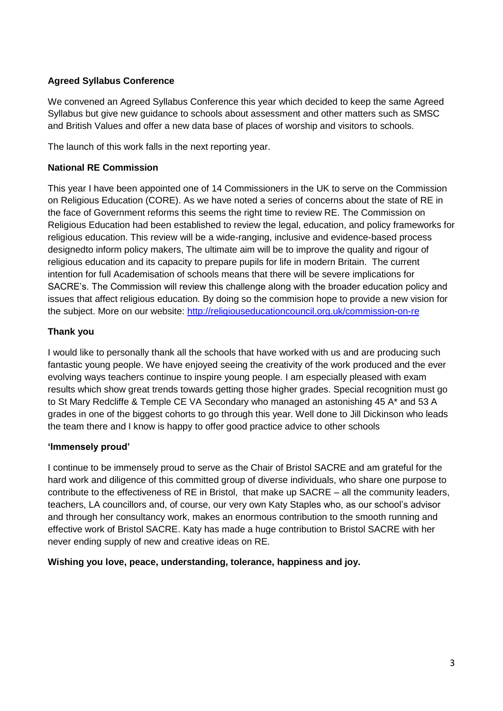# **Agreed Syllabus Conference**

We convened an Agreed Syllabus Conference this year which decided to keep the same Agreed Syllabus but give new guidance to schools about assessment and other matters such as SMSC and British Values and offer a new data base of places of worship and visitors to schools.

The launch of this work falls in the next reporting year.

# **National RE Commission**

This year I have been appointed one of 14 Commissioners in the UK to serve on the Commission on Religious Education (CORE). As we have noted a series of concerns about the state of RE in the face of Government reforms this seems the right time to review RE. The Commission on Religious Education had been established to review the legal, education, and policy frameworks for religious education. This review will be a wide-ranging, inclusive and evidence-based process designedto inform policy makers, The ultimate aim will be to improve the quality and rigour of religious education and its capacity to prepare pupils for life in modern Britain. The current intention for full Academisation of schools means that there will be severe implications for SACRE's. The Commission will review this challenge along with the broader education policy and issues that affect religious education. By doing so the commision hope to provide a new vision for the subject. More on our website:<http://religiouseducationcouncil.org.uk/commission-on-re>

# **Thank you**

I would like to personally thank all the schools that have worked with us and are producing such fantastic young people. We have enjoyed seeing the creativity of the work produced and the ever evolving ways teachers continue to inspire young people. I am especially pleased with exam results which show great trends towards getting those higher grades. Special recognition must go to St Mary Redcliffe & Temple CE VA Secondary who managed an astonishing 45 A\* and 53 A grades in one of the biggest cohorts to go through this year. Well done to Jill Dickinson who leads the team there and I know is happy to offer good practice advice to other schools

# **'Immensely proud'**

I continue to be immensely proud to serve as the Chair of Bristol SACRE and am grateful for the hard work and diligence of this committed group of diverse individuals, who share one purpose to contribute to the effectiveness of RE in Bristol, that make up SACRE – all the community leaders, teachers, LA councillors and, of course, our very own Katy Staples who, as our school's advisor and through her consultancy work, makes an enormous contribution to the smooth running and effective work of Bristol SACRE. Katy has made a huge contribution to Bristol SACRE with her never ending supply of new and creative ideas on RE.

**Wishing you love, peace, understanding, tolerance, happiness and joy.**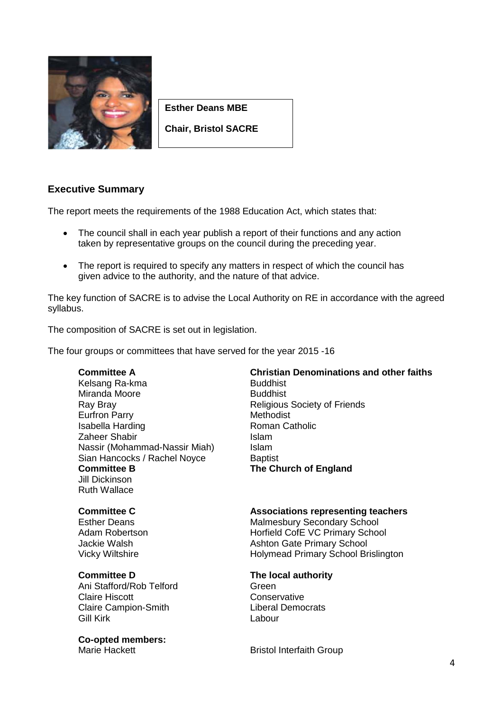

**Esther Deans MBE Chair, Bristol SACRE**

# **Executive Summary**

The report meets the requirements of the 1988 Education Act, which states that:

- The council shall in each year publish a report of their functions and any action taken by representative groups on the council during the preceding year.
- The report is required to specify any matters in respect of which the council has given advice to the authority, and the nature of that advice.

The key function of SACRE is to advise the Local Authority on RE in accordance with the agreed syllabus.

The composition of SACRE is set out in legislation.

The four groups or committees that have served for the year 2015 -16

#### **Committee A**

Kelsang Ra-kma Miranda Moore Ray Bray Eurfron Parry Isabella Harding Zaheer Shabir Nassir (Mohammad-Nassir Miah) Sian Hancocks / Rachel Noyce **Committee B** Jill Dickinson Ruth Wallace

## **Committee C**

Esther Deans Adam Robertson Jackie Walsh Vicky Wiltshire

#### **Committee D**

Ani Stafford/Rob Telford Claire Hiscott Claire Campion-Smith Gill Kirk

#### **Co-opted members:**

**Christian Denominations and other faiths** Buddhist **Buddhist** Religious Society of Friends Methodist Roman Catholic Islam Islam **Baptist The Church of England**

#### **Associations representing teachers**

Malmesbury Secondary School Horfield CofE VC Primary School Ashton Gate Primary School Holymead Primary School Brislington

#### **The local authority**

Green **Conservative** Liberal Democrats Labour

Marie Hackett **Bristol Interfaith Group**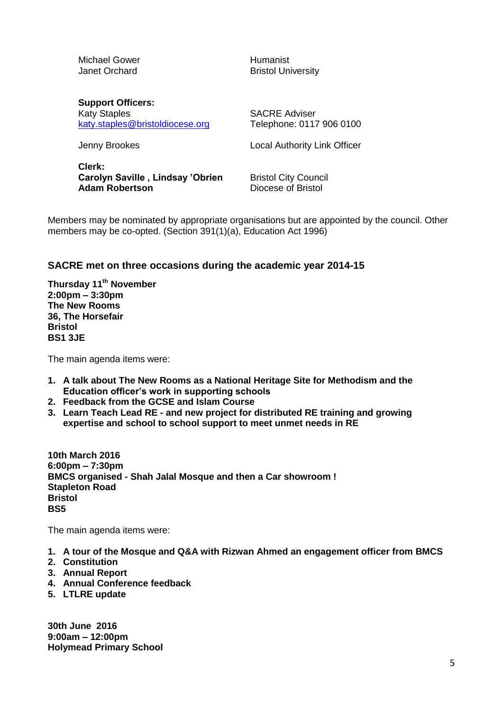| <b>Michael Gower</b><br>Janet Orchard                                              | Humanist<br><b>Bristol University</b>             |
|------------------------------------------------------------------------------------|---------------------------------------------------|
| <b>Support Officers:</b><br><b>Katy Staples</b><br>katy.staples@bristoldiocese.org | <b>SACRE Adviser</b><br>Telephone: 0117 906 0100  |
| Jenny Brookes                                                                      | <b>Local Authority Link Officer</b>               |
| Clerk:<br>Carolyn Saville, Lindsay 'Obrien<br><b>Adam Robertson</b>                | <b>Bristol City Council</b><br>Diocese of Bristol |

Members may be nominated by appropriate organisations but are appointed by the council. Other members may be co-opted. (Section 391(1)(a), Education Act 1996)

## **SACRE met on three occasions during the academic year 2014-15**

**Thursday 11th November 2:00pm – 3:30pm The New Rooms 36, The Horsefair Bristol BS1 3JE**

The main agenda items were:

- **1. A talk about The New Rooms as a National Heritage Site for Methodism and the Education officer's work in supporting schools**
- **2. Feedback from the GCSE and Islam Course**
- **3. Learn Teach Lead RE - and new project for distributed RE training and growing expertise and school to school support to meet unmet needs in RE**

**10th March 2016 6:00pm – 7:30pm BMCS organised - Shah Jalal Mosque and then a Car showroom ! Stapleton Road Bristol BS5**

The main agenda items were:

- **1. A tour of the Mosque and Q&A with Rizwan Ahmed an engagement officer from BMCS**
- **2. Constitution**
- **3. Annual Report**
- **4. Annual Conference feedback**
- **5. LTLRE update**

**30th June 2016 9:00am – 12:00pm Holymead Primary School**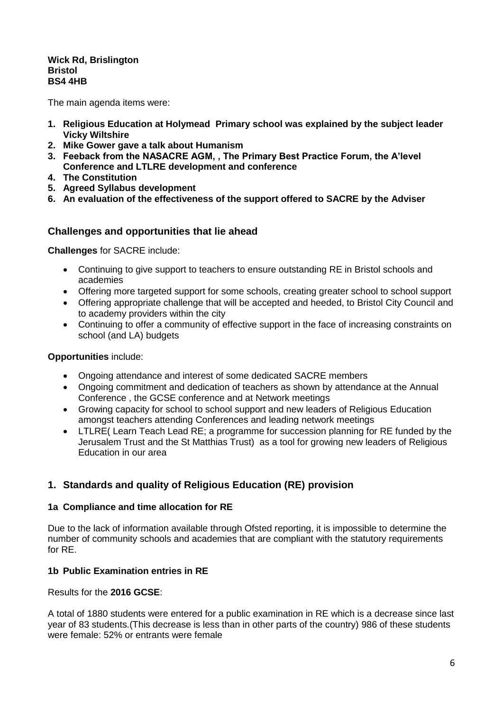## **Wick Rd, Brislington Bristol BS4 4HB**

The main agenda items were:

- **1. Religious Education at Holymead Primary school was explained by the subject leader Vicky Wiltshire**
- **2. Mike Gower gave a talk about Humanism**
- **3. Feeback from the NASACRE AGM, , The Primary Best Practice Forum, the A'level Conference and LTLRE development and conference**
- **4. The Constitution**
- **5. Agreed Syllabus development**
- **6. An evaluation of the effectiveness of the support offered to SACRE by the Adviser**

# **Challenges and opportunities that lie ahead**

**Challenges** for SACRE include:

- Continuing to give support to teachers to ensure outstanding RE in Bristol schools and academies
- Offering more targeted support for some schools, creating greater school to school support
- Offering appropriate challenge that will be accepted and heeded, to Bristol City Council and to academy providers within the city
- Continuing to offer a community of effective support in the face of increasing constraints on school (and LA) budgets

**Opportunities** include:

- Ongoing attendance and interest of some dedicated SACRE members
- Ongoing commitment and dedication of teachers as shown by attendance at the Annual Conference , the GCSE conference and at Network meetings
- Growing capacity for school to school support and new leaders of Religious Education amongst teachers attending Conferences and leading network meetings
- LTLRE( Learn Teach Lead RE; a programme for succession planning for RE funded by the Jerusalem Trust and the St Matthias Trust) as a tool for growing new leaders of Religious Education in our area

# **1. Standards and quality of Religious Education (RE) provision**

## **1a Compliance and time allocation for RE**

Due to the lack of information available through Ofsted reporting, it is impossible to determine the number of community schools and academies that are compliant with the statutory requirements for RE.

## **1b Public Examination entries in RE**

Results for the **2016 GCSE**:

A total of 1880 students were entered for a public examination in RE which is a decrease since last year of 83 students.(This decrease is less than in other parts of the country) 986 of these students were female: 52% or entrants were female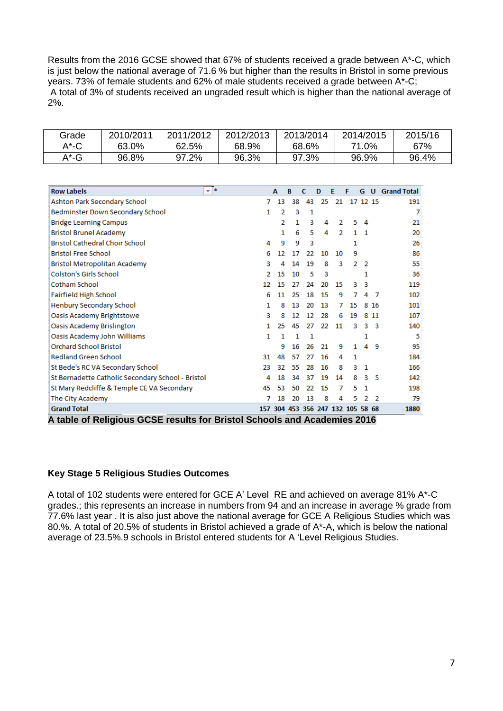Results from the 2016 GCSE showed that 67% of students received a grade between A\*-C, which is just below the national average of 71.6 % but higher than the results in Bristol in some previous years. 73% of female students and 62% of male students received a grade between A\*-C; A total of 3% of students received an ungraded result which is higher than the national average of 2%.

| Grade | 2010/2011 | 2011/2012 | 2012/2013 | 2013/2014 | 2014/2015  | 2015/16 |
|-------|-----------|-----------|-----------|-----------|------------|---------|
| A*-C  | 63.0%     | 62.5%     | 68.9%     | 68.6%     | 1.0%<br>74 | 67%     |
| A*-G  | 96.8%     | 97.2%     | 96.3%     | 97.3%     | 96.9%      | 96.4%   |

| <b>Row Labels</b>                                 | $\ast$<br>$\overline{\mathbf{v}}$ | A  | B                                 | C  | D  | F  | F  | G.       |     | <b>U</b> Grand Total |
|---------------------------------------------------|-----------------------------------|----|-----------------------------------|----|----|----|----|----------|-----|----------------------|
| Ashton Park Secondary School                      | 7                                 | 13 | 38                                | 43 | 25 | 21 |    | 17 12 15 |     | 191                  |
| Bedminster Down Secondary School                  | 1                                 | 2  | 3                                 | 1  |    |    |    |          |     | 7                    |
| <b>Bridge Learning Campus</b>                     |                                   |    | 1<br>2                            | 3  | 4  | 2  | 5  | 4        |     | 21                   |
| <b>Bristol Brunel Academy</b>                     |                                   | 1  | 6                                 | 5  | 4  | 2  | 1. | 1        |     | 20                   |
| <b>Bristol Cathedral Choir School</b>             | 4                                 | 9  | 9                                 | 3  |    |    |    |          |     | 26                   |
| <b>Bristol Free School</b>                        | 6                                 | 12 | 17                                | 22 | 10 | 10 | 9  |          |     | 86                   |
| <b>Bristol Metropolitan Academy</b>               | з                                 | 4  | 14                                | 19 | 8  | 3  | 2  | 2        |     | 55                   |
| <b>Colston's Girls School</b>                     | 2                                 | 15 | 10                                | 5  | з  |    |    | 1        |     | 36                   |
| <b>Cotham School</b>                              | 12                                | 15 | 27                                | 24 | 20 | 15 | 3. | 3        |     | 119                  |
| Fairfield High School                             | 6                                 | 11 | 25                                | 18 | 15 | 9  |    | 4        | 7   | 102                  |
| Henbury Secondary School                          | 1                                 | 8  | 13                                | 20 | 13 | 7  | 15 | 8        | -16 | 101                  |
| Oasis Academy Brightstowe                         | 3                                 | 8  | 12                                | 12 | 28 | 6  | 19 | 8        | -11 | 107                  |
| Oasis Academy Brislington                         | 1.                                | 25 | 45                                | 27 | 22 | 11 | з  | 3        | з   | 140                  |
| Oasis Academy John Williams                       | 1                                 | 1  | 1                                 | 1  |    |    |    |          |     | 5                    |
| <b>Orchard School Bristol</b>                     |                                   | 9  | 16                                | 26 | 21 | 9  | 1. | 4        | 9   | 95                   |
| <b>Redland Green School</b>                       | 31                                | 48 | 57                                | 27 | 16 | 4  | 1  |          |     | 184                  |
| St Bede's RC VA Secondary School                  | 23                                | 32 | 55                                | 28 | 16 | 8  | 3  | 1        |     | 166                  |
| St Bernadette Catholic Secondary School - Bristol | 4                                 | 18 | 34                                | 37 | 19 | 14 | 8  | 3        | 5   | 142                  |
| St Mary Redcliffe & Temple CE VA Secondary        | 45                                | 53 | 50                                | 22 | 15 | 7  | 5  | 1        |     | 198                  |
| The City Academy                                  |                                   | 18 | 20                                | 13 | 8  | 4  | 5  | 2        | 2   | 79                   |
| <b>Grand Total</b>                                |                                   |    | 157 304 453 356 247 132 105 58 68 |    |    |    |    |          |     | 1880                 |

**A table of Religious GCSE results for Bristol Schools and Academies 2016**

## **Key Stage 5 Religious Studies Outcomes**

A total of 102 students were entered for GCE A' Level RE and achieved on average 81% A\*-C grades.; this represents an increase in numbers from 94 and an increase in average % grade from 77.6% last year . It is also just above the national average for GCE A Religious Studies which was 80.%. A total of 20.5% of students in Bristol achieved a grade of A\*-A, which is below the national average of 23.5%.9 schools in Bristol entered students for A 'Level Religious Studies.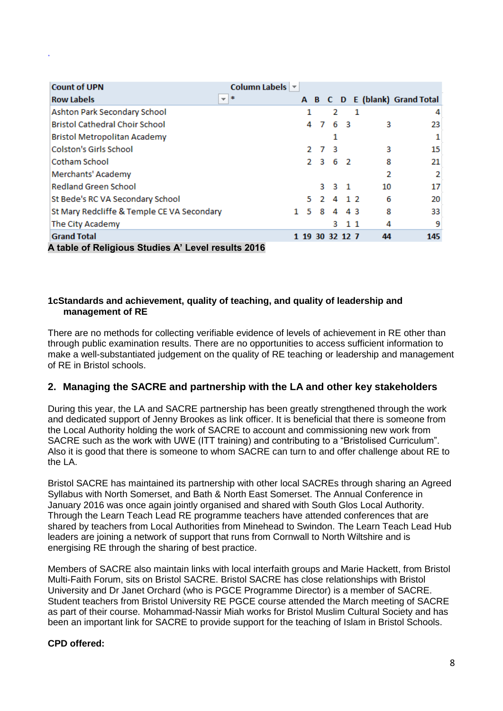| <b>Count of UPN</b>                                | Column Labels $\blacktriangledown$ |   |     |     |                 |          |    |                               |
|----------------------------------------------------|------------------------------------|---|-----|-----|-----------------|----------|----|-------------------------------|
| <b>Row Labels</b>                                  | 丰<br>v.                            |   |     |     |                 |          |    | A B C D E (blank) Grand Total |
| Ashton Park Secondary School                       |                                    | 1 |     |     | 2               | 1        |    |                               |
| <b>Bristol Cathedral Choir School</b>              |                                    | 4 | 7   |     | 6 3             |          | 3  | 23                            |
| <b>Bristol Metropolitan Academy</b>                |                                    |   |     |     |                 |          |    |                               |
| <b>Colston's Girls School</b>                      |                                    |   |     | 273 |                 |          | 3  | 15                            |
| <b>Cotham School</b>                               |                                    |   |     |     | 2 3 6 2         |          | 8  | 21                            |
| Merchants' Academy                                 |                                    |   |     |     |                 |          | 2  | 2                             |
| <b>Redland Green School</b>                        |                                    |   |     |     | 3 3 1           |          | 10 | 17                            |
| St Bede's RC VA Secondary School                   |                                    |   | 5 2 |     | 4 1 2           |          | 6  | 20                            |
| St Mary Redcliffe & Temple CE VA Secondary         |                                    |   | 5.  | 8   | 4               | 43       | 8  | 33                            |
| The City Academy                                   |                                    |   |     |     | 3.              | $1 \; 1$ | 4  | 9                             |
| <b>Grand Total</b>                                 |                                    |   |     |     | 1 19 30 32 12 7 |          | 44 | 145                           |
| A table of Religious Studies A' Level results 2016 |                                    |   |     |     |                 |          |    |                               |

#### **1cStandards and achievement, quality of teaching, and quality of leadership and management of RE**

There are no methods for collecting verifiable evidence of levels of achievement in RE other than through public examination results. There are no opportunities to access sufficient information to make a well-substantiated judgement on the quality of RE teaching or leadership and management of RE in Bristol schools.

# **2. Managing the SACRE and partnership with the LA and other key stakeholders**

During this year, the LA and SACRE partnership has been greatly strengthened through the work and dedicated support of Jenny Brookes as link officer. It is beneficial that there is someone from the Local Authority holding the work of SACRE to account and commissioning new work from SACRE such as the work with UWE (ITT training) and contributing to a "Bristolised Curriculum". Also it is good that there is someone to whom SACRE can turn to and offer challenge about RE to the LA.

Bristol SACRE has maintained its partnership with other local SACREs through sharing an Agreed Syllabus with North Somerset, and Bath & North East Somerset. The Annual Conference in January 2016 was once again jointly organised and shared with South Glos Local Authority. Through the Learn Teach Lead RE programme teachers have attended conferences that are shared by teachers from Local Authorities from Minehead to Swindon. The Learn Teach Lead Hub leaders are joining a network of support that runs from Cornwall to North Wiltshire and is energising RE through the sharing of best practice.

Members of SACRE also maintain links with local interfaith groups and Marie Hackett, from Bristol Multi-Faith Forum, sits on Bristol SACRE. Bristol SACRE has close relationships with Bristol University and Dr Janet Orchard (who is PGCE Programme Director) is a member of SACRE. Student teachers from Bristol University RE PGCE course attended the March meeting of SACRE as part of their course. Mohammad-Nassir Miah works for Bristol Muslim Cultural Society and has been an important link for SACRE to provide support for the teaching of Islam in Bristol Schools.

## **CPD offered:**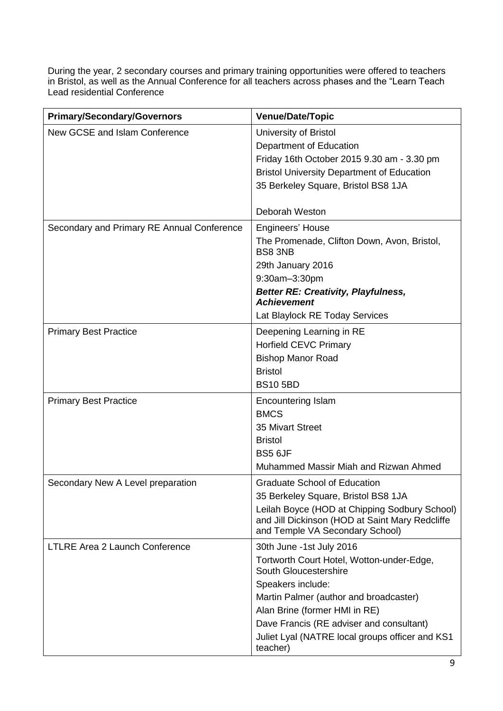During the year, 2 secondary courses and primary training opportunities were offered to teachers in Bristol, as well as the Annual Conference for all teachers across phases and the "Learn Teach Lead residential Conference

| <b>Primary/Secondary/Governors</b>         | <b>Venue/Date/Topic</b>                                                                                                                                                                                                                                                                                   |
|--------------------------------------------|-----------------------------------------------------------------------------------------------------------------------------------------------------------------------------------------------------------------------------------------------------------------------------------------------------------|
| New GCSE and Islam Conference              | University of Bristol<br>Department of Education<br>Friday 16th October 2015 9.30 am - 3.30 pm<br><b>Bristol University Department of Education</b><br>35 Berkeley Square, Bristol BS8 1JA                                                                                                                |
|                                            | Deborah Weston                                                                                                                                                                                                                                                                                            |
| Secondary and Primary RE Annual Conference | Engineers' House<br>The Promenade, Clifton Down, Avon, Bristol,<br><b>BS8 3NB</b>                                                                                                                                                                                                                         |
|                                            | 29th January 2016<br>9:30am-3:30pm                                                                                                                                                                                                                                                                        |
|                                            | <b>Better RE: Creativity, Playfulness,</b><br><b>Achievement</b>                                                                                                                                                                                                                                          |
|                                            | Lat Blaylock RE Today Services                                                                                                                                                                                                                                                                            |
| <b>Primary Best Practice</b>               | Deepening Learning in RE<br><b>Horfield CEVC Primary</b><br><b>Bishop Manor Road</b><br><b>Bristol</b><br><b>BS10 5BD</b>                                                                                                                                                                                 |
| <b>Primary Best Practice</b>               | <b>Encountering Islam</b><br><b>BMCS</b><br><b>35 Mivart Street</b><br><b>Bristol</b><br><b>BS5 6JF</b><br>Muhammed Massir Miah and Rizwan Ahmed                                                                                                                                                          |
| Secondary New A Level preparation          | <b>Graduate School of Education</b><br>35 Berkeley Square, Bristol BS8 1JA<br>Leilah Boyce (HOD at Chipping Sodbury School)<br>and Jill Dickinson (HOD at Saint Mary Redcliffe<br>and Temple VA Secondary School)                                                                                         |
| <b>LTLRE Area 2 Launch Conference</b>      | 30th June -1st July 2016<br>Tortworth Court Hotel, Wotton-under-Edge,<br>South Gloucestershire<br>Speakers include:<br>Martin Palmer (author and broadcaster)<br>Alan Brine (former HMI in RE)<br>Dave Francis (RE adviser and consultant)<br>Juliet Lyal (NATRE local groups officer and KS1<br>teacher) |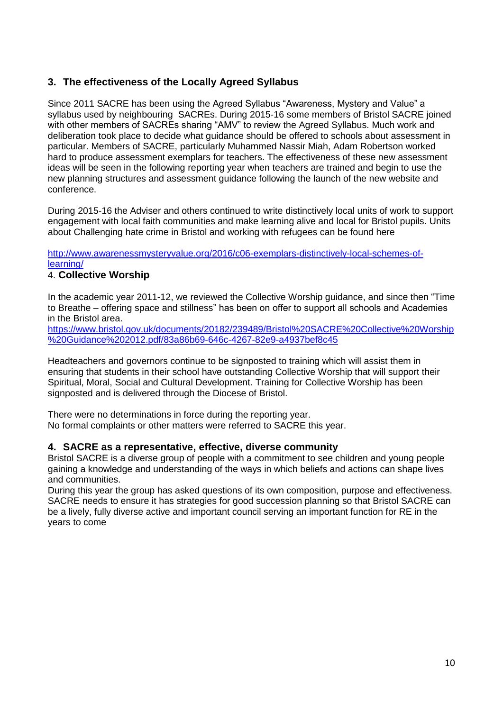# **3. The effectiveness of the Locally Agreed Syllabus**

Since 2011 SACRE has been using the Agreed Syllabus "Awareness, Mystery and Value" a syllabus used by neighbouring SACREs. During 2015-16 some members of Bristol SACRE joined with other members of SACREs sharing "AMV" to review the Agreed Syllabus. Much work and deliberation took place to decide what guidance should be offered to schools about assessment in particular. Members of SACRE, particularly Muhammed Nassir Miah, Adam Robertson worked hard to produce assessment exemplars for teachers. The effectiveness of these new assessment ideas will be seen in the following reporting year when teachers are trained and begin to use the new planning structures and assessment guidance following the launch of the new website and conference.

During 2015-16 the Adviser and others continued to write distinctively local units of work to support engagement with local faith communities and make learning alive and local for Bristol pupils. Units about Challenging hate crime in Bristol and working with refugees can be found here

# [http://www.awarenessmysteryvalue.org/2016/c06-exemplars-distinctively-local-schemes-of](http://www.awarenessmysteryvalue.org/2016/c06-exemplars-distinctively-local-schemes-of-learning/)[learning/](http://www.awarenessmysteryvalue.org/2016/c06-exemplars-distinctively-local-schemes-of-learning/)

# 4. **Collective Worship**

In the academic year 2011-12, we reviewed the Collective Worship guidance, and since then "Time to Breathe – offering space and stillness" has been on offer to support all schools and Academies in the Bristol area.

[https://www.bristol.gov.uk/documents/20182/239489/Bristol%20SACRE%20Collective%20Worship](https://www.bristol.gov.uk/documents/20182/239489/Bristol%20SACRE%20Collective%20Worship%20Guidance%202012.pdf/83a86b69-646c-4267-82e9-a4937bef8c45) [%20Guidance%202012.pdf/83a86b69-646c-4267-82e9-a4937bef8c45](https://www.bristol.gov.uk/documents/20182/239489/Bristol%20SACRE%20Collective%20Worship%20Guidance%202012.pdf/83a86b69-646c-4267-82e9-a4937bef8c45)

Headteachers and governors continue to be signposted to training which will assist them in ensuring that students in their school have outstanding Collective Worship that will support their Spiritual, Moral, Social and Cultural Development. Training for Collective Worship has been signposted and is delivered through the Diocese of Bristol.

There were no determinations in force during the reporting year. No formal complaints or other matters were referred to SACRE this year.

## **4. SACRE as a representative, effective, diverse community**

Bristol SACRE is a diverse group of people with a commitment to see children and young people gaining a knowledge and understanding of the ways in which beliefs and actions can shape lives and communities.

During this year the group has asked questions of its own composition, purpose and effectiveness. SACRE needs to ensure it has strategies for good succession planning so that Bristol SACRE can be a lively, fully diverse active and important council serving an important function for RE in the years to come